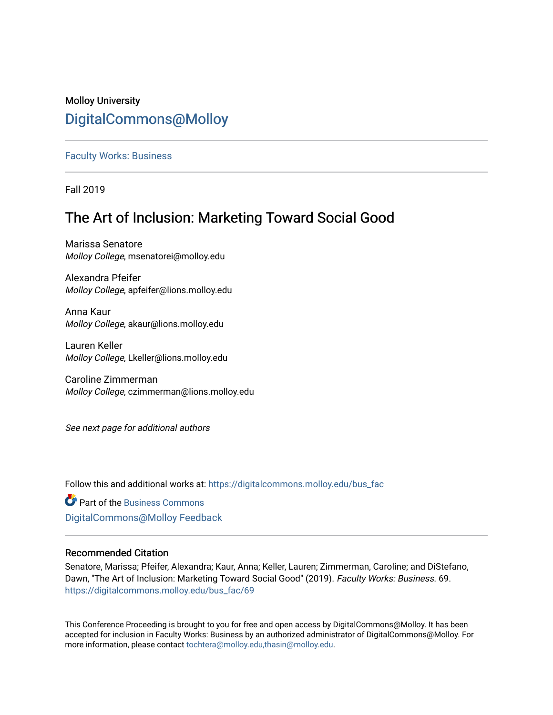# Molloy University [DigitalCommons@Molloy](https://digitalcommons.molloy.edu/)

# [Faculty Works: Business](https://digitalcommons.molloy.edu/bus_fac)

Fall 2019

# The Art of Inclusion: Marketing Toward Social Good

Marissa Senatore Molloy College, msenatorei@molloy.edu

Alexandra Pfeifer Molloy College, apfeifer@lions.molloy.edu

Anna Kaur Molloy College, akaur@lions.molloy.edu

Lauren Keller Molloy College, Lkeller@lions.molloy.edu

Caroline Zimmerman Molloy College, czimmerman@lions.molloy.edu

See next page for additional authors

Follow this and additional works at: [https://digitalcommons.molloy.edu/bus\\_fac](https://digitalcommons.molloy.edu/bus_fac?utm_source=digitalcommons.molloy.edu%2Fbus_fac%2F69&utm_medium=PDF&utm_campaign=PDFCoverPages)

**C** Part of the [Business Commons](https://network.bepress.com/hgg/discipline/622?utm_source=digitalcommons.molloy.edu%2Fbus_fac%2F69&utm_medium=PDF&utm_campaign=PDFCoverPages) [DigitalCommons@Molloy Feedback](https://molloy.libwizard.com/f/dcfeedback)

# Recommended Citation

Senatore, Marissa; Pfeifer, Alexandra; Kaur, Anna; Keller, Lauren; Zimmerman, Caroline; and DiStefano, Dawn, "The Art of Inclusion: Marketing Toward Social Good" (2019). Faculty Works: Business. 69. [https://digitalcommons.molloy.edu/bus\\_fac/69](https://digitalcommons.molloy.edu/bus_fac/69?utm_source=digitalcommons.molloy.edu%2Fbus_fac%2F69&utm_medium=PDF&utm_campaign=PDFCoverPages) 

This Conference Proceeding is brought to you for free and open access by DigitalCommons@Molloy. It has been accepted for inclusion in Faculty Works: Business by an authorized administrator of DigitalCommons@Molloy. For more information, please contact [tochtera@molloy.edu,thasin@molloy.edu.](mailto:tochtera@molloy.edu,thasin@molloy.edu)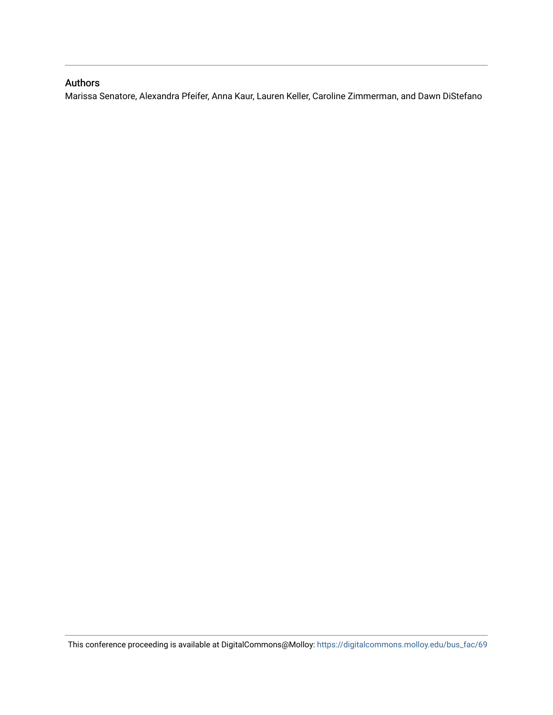# Authors

Marissa Senatore, Alexandra Pfeifer, Anna Kaur, Lauren Keller, Caroline Zimmerman, and Dawn DiStefano

This conference proceeding is available at DigitalCommons@Molloy: [https://digitalcommons.molloy.edu/bus\\_fac/69](https://digitalcommons.molloy.edu/bus_fac/69)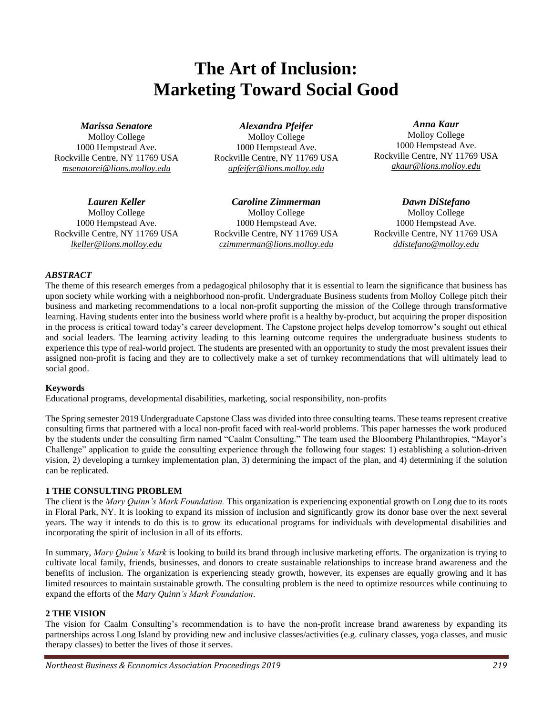# **The Art of Inclusion: Marketing Toward Social Good**

*Marissa Senatore*

Molloy College 1000 Hempstead Ave. Rockville Centre, NY 11769 USA *msenatorei@lions.molloy.edu*

*Alexandra Pfeifer* Molloy College 1000 Hempstead Ave. Rockville Centre, NY 11769 USA *apfeifer@lions.molloy.edu*

*Lauren Keller* Molloy College 1000 Hempstead Ave. Rockville Centre, NY 11769 USA *lkeller@lions.molloy.edu*

*Caroline Zimmerman* Molloy College 1000 Hempstead Ave. Rockville Centre, NY 11769 USA *czimmerman@lions.molloy.edu*

*Anna Kaur*

Molloy College 1000 Hempstead Ave. Rockville Centre, NY 11769 USA *akaur@lions.molloy.edu*

*Dawn DiStefano* Molloy College 1000 Hempstead Ave. Rockville Centre, NY 11769 USA *ddistefano@molloy.edu*

# *ABSTRACT*

The theme of this research emerges from a pedagogical philosophy that it is essential to learn the significance that business has upon society while working with a neighborhood non-profit. Undergraduate Business students from Molloy College pitch their business and marketing recommendations to a local non-profit supporting the mission of the College through transformative learning. Having students enter into the business world where profit is a healthy by-product, but acquiring the proper disposition in the process is critical toward today's career development. The Capstone project helps develop tomorrow's sought out ethical and social leaders. The learning activity leading to this learning outcome requires the undergraduate business students to experience this type of real-world project. The students are presented with an opportunity to study the most prevalent issues their assigned non-profit is facing and they are to collectively make a set of turnkey recommendations that will ultimately lead to social good.

## **Keywords**

Educational programs, developmental disabilities, marketing, social responsibility, non-profits

The Spring semester 2019 Undergraduate Capstone Class was divided into three consulting teams. These teams represent creative consulting firms that partnered with a local non-profit faced with real-world problems. This paper harnesses the work produced by the students under the consulting firm named "Caalm Consulting." The team used the Bloomberg Philanthropies, "Mayor's Challenge" application to guide the consulting experience through the following four stages: 1) establishing a solution-driven vision, 2) developing a turnkey implementation plan, 3) determining the impact of the plan, and 4) determining if the solution can be replicated.

## **1 THE CONSULTING PROBLEM**

The client is the *Mary Quinn's Mark Foundation.* This organization is experiencing exponential growth on Long due to its roots in Floral Park, NY. It is looking to expand its mission of inclusion and significantly grow its donor base over the next several years. The way it intends to do this is to grow its educational programs for individuals with developmental disabilities and incorporating the spirit of inclusion in all of its efforts.

In summary, *Mary Quinn's Mark* is looking to build its brand through inclusive marketing efforts. The organization is trying to cultivate local family, friends, businesses, and donors to create sustainable relationships to increase brand awareness and the benefits of inclusion. The organization is experiencing steady growth, however, its expenses are equally growing and it has limited resources to maintain sustainable growth. The consulting problem is the need to optimize resources while continuing to expand the efforts of the *Mary Quinn's Mark Foundation*.

## **2 THE VISION**

The vision for Caalm Consulting's recommendation is to have the non-profit increase brand awareness by expanding its partnerships across Long Island by providing new and inclusive classes/activities (e.g. culinary classes, yoga classes, and music therapy classes) to better the lives of those it serves.